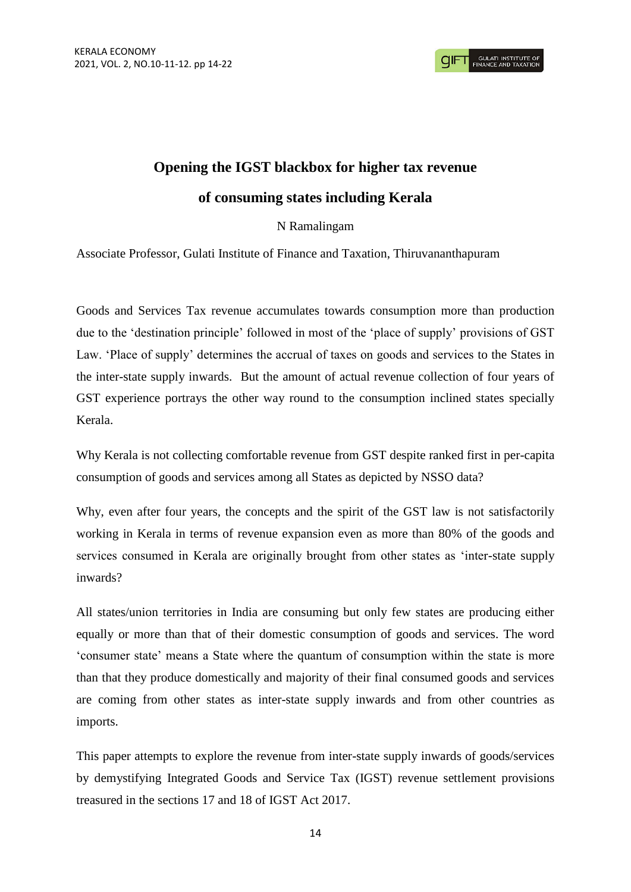# **Opening the IGST blackbox for higher tax revenue of consuming states including Kerala**

## N Ramalingam

Associate Professor, Gulati Institute of Finance and Taxation, Thiruvananthapuram

Goods and Services Tax revenue accumulates towards consumption more than production due to the 'destination principle' followed in most of the 'place of supply' provisions of GST Law. 'Place of supply' determines the accrual of taxes on goods and services to the States in the inter-state supply inwards. But the amount of actual revenue collection of four years of GST experience portrays the other way round to the consumption inclined states specially Kerala.

Why Kerala is not collecting comfortable revenue from GST despite ranked first in per-capita consumption of goods and services among all States as depicted by NSSO data?

Why, even after four years, the concepts and the spirit of the GST law is not satisfactorily working in Kerala in terms of revenue expansion even as more than 80% of the goods and services consumed in Kerala are originally brought from other states as 'inter-state supply inwards?

All states/union territories in India are consuming but only few states are producing either equally or more than that of their domestic consumption of goods and services. The word 'consumer state' means a State where the quantum of consumption within the state is more than that they produce domestically and majority of their final consumed goods and services are coming from other states as inter-state supply inwards and from other countries as imports.

This paper attempts to explore the revenue from inter-state supply inwards of goods/services by demystifying Integrated Goods and Service Tax (IGST) revenue settlement provisions treasured in the sections 17 and 18 of IGST Act 2017.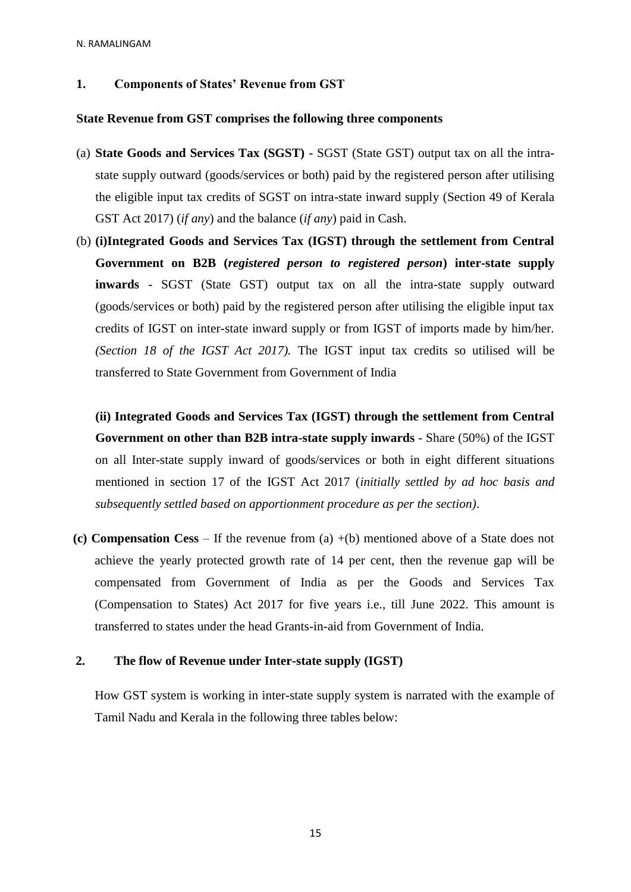N. RAMALINGAM

#### **1. Components of States' Revenue from GST**

#### **State Revenue from GST comprises the following three components**

- (a) **State Goods and Services Tax (SGST)** SGST (State GST) output tax on all the intrastate supply outward (goods/services or both) paid by the registered person after utilising the eligible input tax credits of SGST on intra-state inward supply (Section 49 of Kerala GST Act 2017) (*if any*) and the balance (*if any*) paid in Cash.
- (b) **(i)Integrated Goods and Services Tax (IGST) through the settlement from Central Government on B2B (***registered person to registered person***) inter-state supply inwards** - SGST (State GST) output tax on all the intra-state supply outward (goods/services or both) paid by the registered person after utilising the eligible input tax credits of IGST on inter-state inward supply or from IGST of imports made by him/her. *(Section 18 of the IGST Act 2017).* The IGST input tax credits so utilised will be transferred to State Government from Government of India

**(ii) Integrated Goods and Services Tax (IGST) through the settlement from Central Government on other than B2B intra-state supply inwards** - Share (50%) of the IGST on all Inter-state supply inward of goods/services or both in eight different situations mentioned in section 17 of the IGST Act 2017 (*initially settled by ad hoc basis and subsequently settled based on apportionment procedure as per the section)*.

 **(c) Compensation Cess** – If the revenue from (a) +(b) mentioned above of a State does not achieve the yearly protected growth rate of 14 per cent, then the revenue gap will be compensated from Government of India as per the Goods and Services Tax (Compensation to States) Act 2017 for five years i.e., till June 2022. This amount is transferred to states under the head Grants-in-aid from Government of India.

### **2. The flow of Revenue under Inter-state supply (IGST)**

How GST system is working in inter-state supply system is narrated with the example of Tamil Nadu and Kerala in the following three tables below: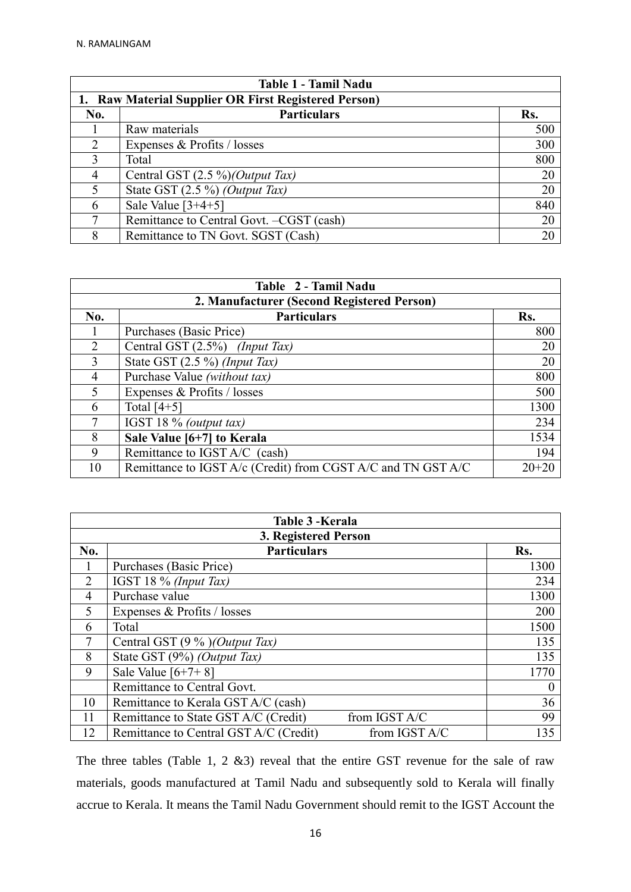| Table 1 - Tamil Nadu                                 |                                          |     |  |  |
|------------------------------------------------------|------------------------------------------|-----|--|--|
| 1. Raw Material Supplier OR First Registered Person) |                                          |     |  |  |
| No.                                                  | <b>Particulars</b>                       | Rs. |  |  |
|                                                      | Raw materials                            | 500 |  |  |
| $\mathcal{L}$                                        | Expenses & Profits / losses              | 300 |  |  |
| 3                                                    | Total                                    | 800 |  |  |
| 4                                                    | Central GST $(2.5\%)$ (Output Tax)       | 20  |  |  |
| 5                                                    | State GST $(2.5\%)$ (Output Tax)         | 20  |  |  |
| 6                                                    | Sale Value $[3+4+5]$                     | 840 |  |  |
|                                                      | Remittance to Central Govt. -CGST (cash) | 20  |  |  |
| 8                                                    | Remittance to TN Govt. SGST (Cash)       | 20  |  |  |

| Table 2 - Tamil Nadu                       |                                                              |           |  |  |
|--------------------------------------------|--------------------------------------------------------------|-----------|--|--|
| 2. Manufacturer (Second Registered Person) |                                                              |           |  |  |
| No.                                        | <b>Particulars</b>                                           | Rs.       |  |  |
|                                            | Purchases (Basic Price)                                      | 800       |  |  |
| 2                                          | Central GST $(2.5\%)$ (Input Tax)                            | 20        |  |  |
| 3                                          | State GST $(2.5\%)$ (Input Tax)                              | 20        |  |  |
| 4                                          | Purchase Value (without tax)                                 | 800       |  |  |
| 5                                          | Expenses & Profits / losses                                  | 500       |  |  |
| 6                                          | Total $[4+5]$                                                | 1300      |  |  |
| 7                                          | IGST 18 % (output tax)                                       | 234       |  |  |
| 8                                          | Sale Value [6+7] to Kerala                                   | 1534      |  |  |
| 9                                          | Remittance to IGST A/C (cash)                                | 194       |  |  |
| 10                                         | Remittance to IGST A/c (Credit) from CGST A/C and TN GST A/C | $20 + 20$ |  |  |

| Table 3 - Kerala |                                                         |          |  |  |  |
|------------------|---------------------------------------------------------|----------|--|--|--|
|                  | 3. Registered Person                                    |          |  |  |  |
| No.              | <b>Particulars</b>                                      | Rs.      |  |  |  |
| 1                | Purchases (Basic Price)                                 | 1300     |  |  |  |
| $\overline{2}$   | IGST 18 % (Input Tax)                                   | 234      |  |  |  |
| 4                | Purchase value                                          | 1300     |  |  |  |
| 5                | Expenses & Profits / losses                             | 200      |  |  |  |
| 6                | Total                                                   | 1500     |  |  |  |
| 7                | Central GST $(9\%)$ (Output Tax)                        | 135      |  |  |  |
| 8                | State GST (9%) (Output Tax)                             | 135      |  |  |  |
| 9                | Sale Value $[6+7+8]$                                    | 1770     |  |  |  |
|                  | Remittance to Central Govt.                             | $\theta$ |  |  |  |
| 10               | Remittance to Kerala GST A/C (cash)                     | 36       |  |  |  |
| 11               | Remittance to State GST A/C (Credit)<br>from IGST A/C   | 99       |  |  |  |
| 12               | Remittance to Central GST A/C (Credit)<br>from IGST A/C | 135      |  |  |  |

The three tables (Table 1, 2 &3) reveal that the entire GST revenue for the sale of raw materials, goods manufactured at Tamil Nadu and subsequently sold to Kerala will finally accrue to Kerala. It means the Tamil Nadu Government should remit to the IGST Account the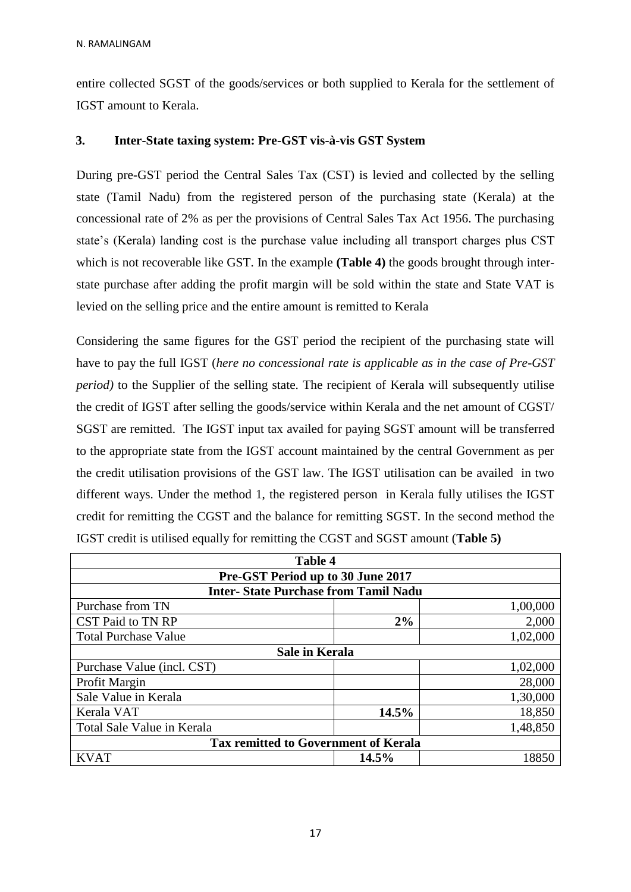entire collected SGST of the goods/services or both supplied to Kerala for the settlement of IGST amount to Kerala.

## **3. Inter-State taxing system: Pre-GST vis-à-vis GST System**

During pre-GST period the Central Sales Tax (CST) is levied and collected by the selling state (Tamil Nadu) from the registered person of the purchasing state (Kerala) at the concessional rate of 2% as per the provisions of Central Sales Tax Act 1956. The purchasing state's (Kerala) landing cost is the purchase value including all transport charges plus CST which is not recoverable like GST. In the example **(Table 4)** the goods brought through interstate purchase after adding the profit margin will be sold within the state and State VAT is levied on the selling price and the entire amount is remitted to Kerala

Considering the same figures for the GST period the recipient of the purchasing state will have to pay the full IGST (*here no concessional rate is applicable as in the case of Pre-GST period*) to the Supplier of the selling state. The recipient of Kerala will subsequently utilise the credit of IGST after selling the goods/service within Kerala and the net amount of CGST/ SGST are remitted. The IGST input tax availed for paying SGST amount will be transferred to the appropriate state from the IGST account maintained by the central Government as per the credit utilisation provisions of the GST law. The IGST utilisation can be availed in two different ways. Under the method 1, the registered person in Kerala fully utilises the IGST credit for remitting the CGST and the balance for remitting SGST. In the second method the IGST credit is utilised equally for remitting the CGST and SGST amount (**Table 5)**

| Table 4                                     |       |          |  |  |
|---------------------------------------------|-------|----------|--|--|
| Pre-GST Period up to 30 June 2017           |       |          |  |  |
| <b>Inter-State Purchase from Tamil Nadu</b> |       |          |  |  |
| Purchase from TN                            |       | 1,00,000 |  |  |
| CST Paid to TN RP                           | 2%    | 2,000    |  |  |
| <b>Total Purchase Value</b>                 |       | 1,02,000 |  |  |
| <b>Sale in Kerala</b>                       |       |          |  |  |
| 1,02,000<br>Purchase Value (incl. CST)      |       |          |  |  |
| Profit Margin                               |       | 28,000   |  |  |
| Sale Value in Kerala                        |       | 1,30,000 |  |  |
| Kerala VAT                                  | 14.5% | 18,850   |  |  |
| Total Sale Value in Kerala                  |       | 1,48,850 |  |  |
| <b>Tax remitted to Government of Kerala</b> |       |          |  |  |
| <b>KVAT</b>                                 | 14.5% | 18850    |  |  |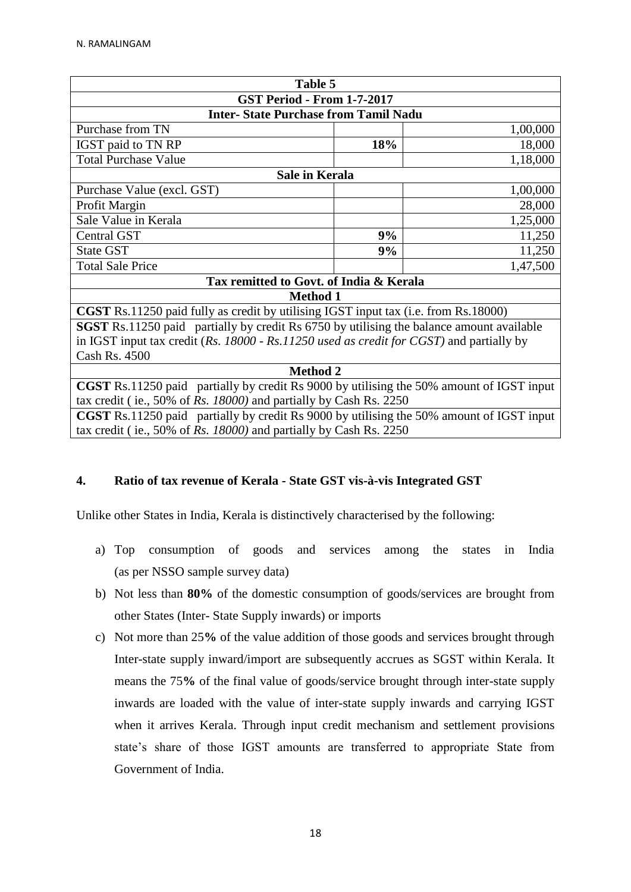| Table 5                                                                                         |     |          |  |  |
|-------------------------------------------------------------------------------------------------|-----|----------|--|--|
| <b>GST Period - From 1-7-2017</b>                                                               |     |          |  |  |
| <b>Inter-State Purchase from Tamil Nadu</b>                                                     |     |          |  |  |
| Purchase from TN                                                                                |     | 1,00,000 |  |  |
| IGST paid to TN RP                                                                              | 18% | 18,000   |  |  |
| <b>Total Purchase Value</b>                                                                     |     | 1,18,000 |  |  |
| Sale in Kerala                                                                                  |     |          |  |  |
| 1,00,000<br>Purchase Value (excl. GST)                                                          |     |          |  |  |
| Profit Margin                                                                                   |     | 28,000   |  |  |
| Sale Value in Kerala                                                                            |     | 1,25,000 |  |  |
| <b>Central GST</b>                                                                              | 9%  | 11,250   |  |  |
| <b>State GST</b>                                                                                | 9%  | 11,250   |  |  |
| <b>Total Sale Price</b>                                                                         |     | 1,47,500 |  |  |
| Tax remitted to Govt. of India & Kerala                                                         |     |          |  |  |
| <b>Method 1</b>                                                                                 |     |          |  |  |
| <b>CGST</b> Rs.11250 paid fully as credit by utilising IGST input tax (i.e. from Rs.18000)      |     |          |  |  |
| <b>SGST</b> Rs.11250 paid partially by credit Rs 6750 by utilising the balance amount available |     |          |  |  |
| in IGST input tax credit ( $Rs.$ 18000 - $Rs.11250$ used as credit for CGST) and partially by   |     |          |  |  |
| Cash Rs. 4500                                                                                   |     |          |  |  |
| <b>Method 2</b>                                                                                 |     |          |  |  |
| <b>CGST</b> Rs.11250 paid partially by credit Rs 9000 by utilising the 50% amount of IGST input |     |          |  |  |
| tax credit (ie., 50% of Rs. $18000$ ) and partially by Cash Rs. 2250                            |     |          |  |  |
| CGST Rs.11250 paid partially by credit Rs 9000 by utilising the 50% amount of IGST input        |     |          |  |  |
| tax credit (ie., 50% of $Rs.$ 18000) and partially by Cash Rs. 2250                             |     |          |  |  |

## **4. Ratio of tax revenue of Kerala - State GST vis-à-vis Integrated GST**

Unlike other States in India, Kerala is distinctively characterised by the following:

- a) Top consumption of goods and services among the states in India (as per NSSO sample survey data)
- b) Not less than **80%** of the domestic consumption of goods/services are brought from other States (Inter- State Supply inwards) or imports
- c) Not more than 25**%** of the value addition of those goods and services brought through Inter-state supply inward/import are subsequently accrues as SGST within Kerala. It means the 75**%** of the final value of goods/service brought through inter-state supply inwards are loaded with the value of inter-state supply inwards and carrying IGST when it arrives Kerala. Through input credit mechanism and settlement provisions state's share of those IGST amounts are transferred to appropriate State from Government of India.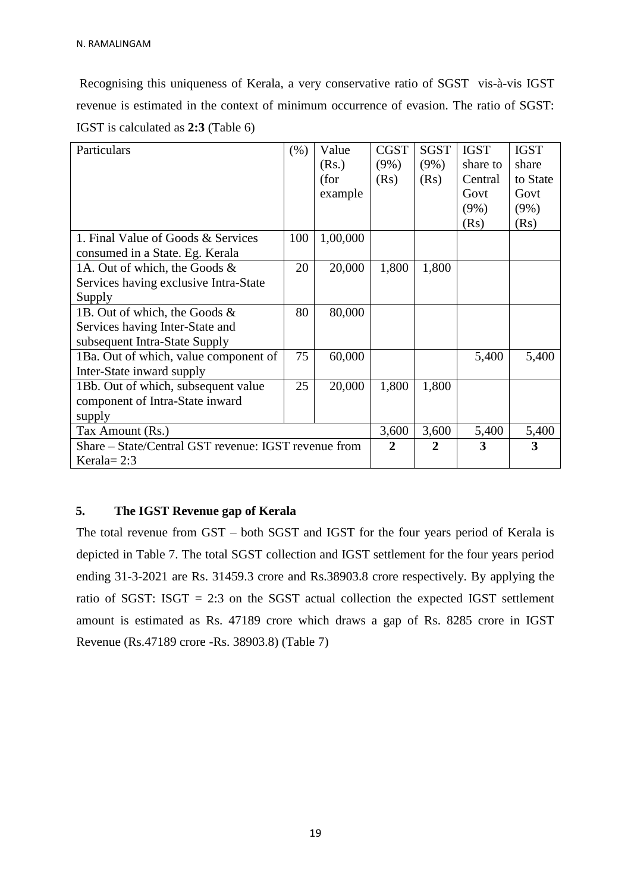Recognising this uniqueness of Kerala, a very conservative ratio of SGST vis-à-vis IGST revenue is estimated in the context of minimum occurrence of evasion. The ratio of SGST: IGST is calculated as **2:3** (Table 6)

| Particulars                                          | (% )  | Value    | <b>CGST</b> | <b>SGST</b> | <b>IGST</b> | <b>IGST</b> |
|------------------------------------------------------|-------|----------|-------------|-------------|-------------|-------------|
|                                                      |       | (Rs.)    | $(9\%)$     | $(9\%)$     | share to    | share       |
|                                                      |       | (for     | (Rs)        | (Rs)        | Central     | to State    |
|                                                      |       | example  |             |             | Govt        | Govt        |
|                                                      |       |          |             |             | $(9\%)$     | $(9\%)$     |
|                                                      |       |          |             |             | (Rs)        | (Rs)        |
| 1. Final Value of Goods & Services                   | 100   | 1,00,000 |             |             |             |             |
| consumed in a State. Eg. Kerala                      |       |          |             |             |             |             |
| 1A. Out of which, the Goods &                        | 20    | 20,000   | 1,800       | 1,800       |             |             |
| Services having exclusive Intra-State                |       |          |             |             |             |             |
| Supply                                               |       |          |             |             |             |             |
| 1B. Out of which, the Goods &                        | 80    | 80,000   |             |             |             |             |
| Services having Inter-State and                      |       |          |             |             |             |             |
| subsequent Intra-State Supply                        |       |          |             |             |             |             |
| 1Ba. Out of which, value component of                | 75    | 60,000   |             |             | 5,400       | 5,400       |
| Inter-State inward supply                            |       |          |             |             |             |             |
| 1Bb. Out of which, subsequent value                  | 25    | 20,000   | 1,800       | 1,800       |             |             |
| component of Intra-State inward                      |       |          |             |             |             |             |
| supply                                               |       |          |             |             |             |             |
| Tax Amount (Rs.)                                     | 3,600 | 3,600    | 5,400       | 5,400       |             |             |
| Share – State/Central GST revenue: IGST revenue from | 2     | 2        | 3           | 3           |             |             |
| Kerala = $2:3$                                       |       |          |             |             |             |             |

## **5. The IGST Revenue gap of Kerala**

The total revenue from GST – both SGST and IGST for the four years period of Kerala is depicted in Table 7. The total SGST collection and IGST settlement for the four years period ending 31-3-2021 are Rs. 31459.3 crore and Rs.38903.8 crore respectively. By applying the ratio of SGST: ISGT  $= 2:3$  on the SGST actual collection the expected IGST settlement amount is estimated as Rs. 47189 crore which draws a gap of Rs. 8285 crore in IGST Revenue (Rs.47189 crore -Rs. 38903.8) (Table 7)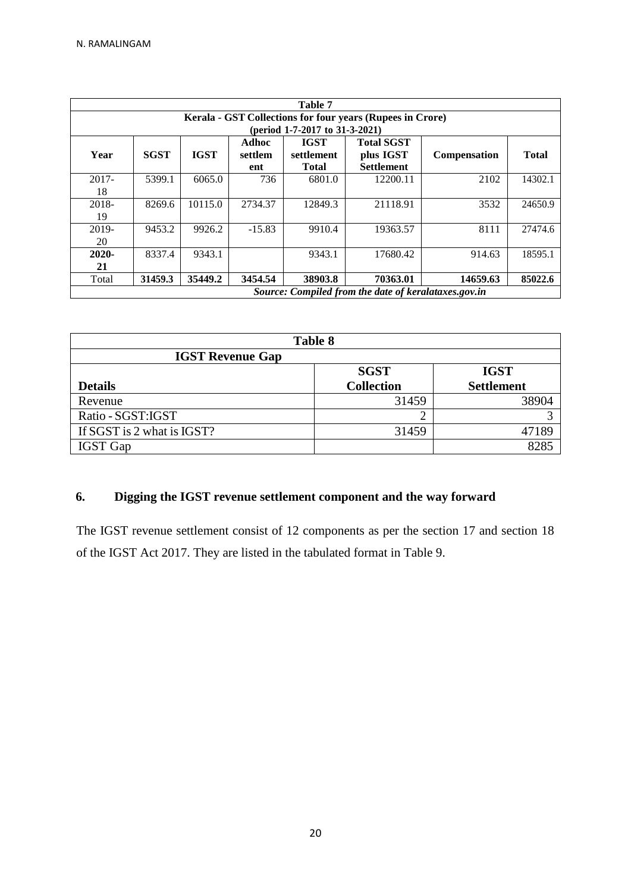|          | Table 7                                                   |             |          |              |                   |                     |              |  |  |
|----------|-----------------------------------------------------------|-------------|----------|--------------|-------------------|---------------------|--------------|--|--|
|          | Kerala - GST Collections for four years (Rupees in Crore) |             |          |              |                   |                     |              |  |  |
|          | (period 1-7-2017 to 31-3-2021)                            |             |          |              |                   |                     |              |  |  |
|          |                                                           |             | Adhoc    | <b>IGST</b>  | <b>Total SGST</b> |                     |              |  |  |
| Year     | <b>SGST</b>                                               | <b>IGST</b> | settlem  | settlement   | plus IGST         | <b>Compensation</b> | <b>Total</b> |  |  |
|          |                                                           |             | ent      | <b>Total</b> | <b>Settlement</b> |                     |              |  |  |
| $2017 -$ | 5399.1                                                    | 6065.0      | 736      | 6801.0       | 12200.11          | 2102                | 14302.1      |  |  |
| 18       |                                                           |             |          |              |                   |                     |              |  |  |
| $2018 -$ | 8269.6                                                    | 10115.0     | 2734.37  | 12849.3      | 21118.91          | 3532                | 24650.9      |  |  |
| 19       |                                                           |             |          |              |                   |                     |              |  |  |
| 2019-    | 9453.2                                                    | 9926.2      | $-15.83$ | 9910.4       | 19363.57          | 8111                | 27474.6      |  |  |
| 20       |                                                           |             |          |              |                   |                     |              |  |  |
| $2020 -$ | 8337.4                                                    | 9343.1      |          | 9343.1       | 17680.42          | 914.63              | 18595.1      |  |  |
| 21       |                                                           |             |          |              |                   |                     |              |  |  |
| Total    | 31459.3                                                   | 35449.2     | 3454.54  | 38903.8      | 70363.01          | 14659.63            | 85022.6      |  |  |
|          | Source: Compiled from the date of keralataxes.gov.in      |             |          |              |                   |                     |              |  |  |

| <b>Table 8</b>             |                   |                   |  |  |  |
|----------------------------|-------------------|-------------------|--|--|--|
| <b>IGST Revenue Gap</b>    |                   |                   |  |  |  |
|                            | <b>SGST</b>       | <b>IGST</b>       |  |  |  |
| <b>Details</b>             | <b>Collection</b> | <b>Settlement</b> |  |  |  |
| Revenue                    | 31459             | 38904             |  |  |  |
| Ratio - SGST: IGST         |                   |                   |  |  |  |
| If SGST is 2 what is IGST? | 31459             | 47189             |  |  |  |
| <b>IGST</b> Gap            |                   | 8285              |  |  |  |

# **6. Digging the IGST revenue settlement component and the way forward**

The IGST revenue settlement consist of 12 components as per the section 17 and section 18 of the IGST Act 2017. They are listed in the tabulated format in Table 9.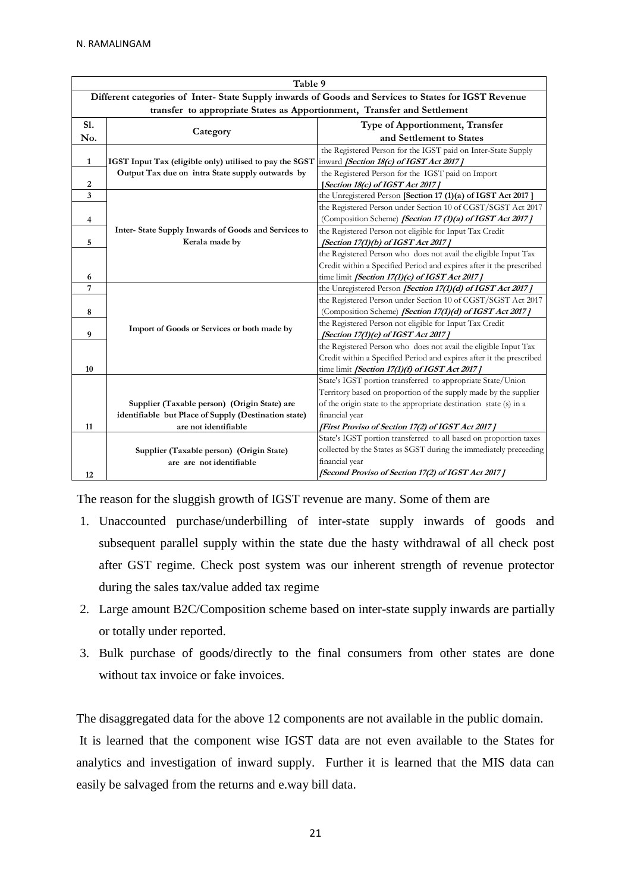| Table 9                                                                                             |                                                         |                                                                      |  |  |
|-----------------------------------------------------------------------------------------------------|---------------------------------------------------------|----------------------------------------------------------------------|--|--|
| Different categories of Inter-State Supply inwards of Goods and Services to States for IGST Revenue |                                                         |                                                                      |  |  |
| transfer to appropriate States as Apportionment, Transfer and Settlement                            |                                                         |                                                                      |  |  |
| S1.                                                                                                 |                                                         | Type of Apportionment, Transfer                                      |  |  |
| No.                                                                                                 | Category                                                | and Settlement to States                                             |  |  |
|                                                                                                     |                                                         | the Registered Person for the IGST paid on Inter-State Supply        |  |  |
| 1                                                                                                   | IGST Input Tax (eligible only) utilised to pay the SGST | inward [Section 18(c) of IGST Act 2017]                              |  |  |
|                                                                                                     | Output Tax due on intra State supply outwards by        | the Registered Person for the IGST paid on Import                    |  |  |
| 2                                                                                                   |                                                         | [Section 18(c) of IGST Act 2017]                                     |  |  |
| 3                                                                                                   |                                                         | the Unregistered Person [Section 17 (1)(a) of IGST Act 2017]         |  |  |
|                                                                                                     |                                                         | the Registered Person under Section 10 of CGST/SGST Act 2017         |  |  |
| 4                                                                                                   |                                                         | (Composition Scheme) [Section 17 (1)(a) of IGST Act 2017]            |  |  |
|                                                                                                     | Inter-State Supply Inwards of Goods and Services to     | the Registered Person not eligible for Input Tax Credit              |  |  |
| 5                                                                                                   | Kerala made by                                          | [Section 17(1)(b) of IGST Act 2017]                                  |  |  |
|                                                                                                     |                                                         | the Registered Person who does not avail the eligible Input Tax      |  |  |
|                                                                                                     |                                                         | Credit within a Specified Period and expires after it the prescribed |  |  |
| 6                                                                                                   |                                                         | time limit [Section 17(1)(c) of IGST Act 2017]                       |  |  |
| 7                                                                                                   |                                                         | the Unregistered Person [Section 17(1)(d) of IGST Act 2017]          |  |  |
|                                                                                                     |                                                         | the Registered Person under Section 10 of CGST/SGST Act 2017         |  |  |
| 8                                                                                                   |                                                         | (Composition Scheme) [Section 17(1)(d) of IGST Act 2017]             |  |  |
|                                                                                                     | Import of Goods or Services or both made by             | the Registered Person not eligible for Input Tax Credit              |  |  |
| 9                                                                                                   |                                                         | [Section 17(1)(e) of IGST Act 2017]                                  |  |  |
|                                                                                                     |                                                         | the Registered Person who does not avail the eligible Input Tax      |  |  |
|                                                                                                     |                                                         | Credit within a Specified Period and expires after it the prescribed |  |  |
| 10                                                                                                  |                                                         | time limit [Section 17(1)(f) of IGST Act 2017]                       |  |  |
|                                                                                                     |                                                         | State's IGST portion transferred to appropriate State/Union          |  |  |
|                                                                                                     |                                                         | Territory based on proportion of the supply made by the supplier     |  |  |
|                                                                                                     | Supplier (Taxable person) (Origin State) are            | of the origin state to the appropriate destination state (s) in a    |  |  |
|                                                                                                     | identifiable but Place of Supply (Destination state)    | financial year                                                       |  |  |
| 11                                                                                                  | are not identifiable                                    | [First Proviso of Section 17(2) of IGST Act 2017]                    |  |  |
|                                                                                                     |                                                         | State's IGST portion transferred to all based on proportion taxes    |  |  |
|                                                                                                     | Supplier (Taxable person) (Origin State)                | collected by the States as SGST during the immediately preceeding    |  |  |
|                                                                                                     | are are not identifiable                                | financial year                                                       |  |  |
| 12                                                                                                  |                                                         | [Second Proviso of Section 17(2) of IGST Act 2017]                   |  |  |

The reason for the sluggish growth of IGST revenue are many. Some of them are

- 1. Unaccounted purchase/underbilling of inter-state supply inwards of goods and subsequent parallel supply within the state due the hasty withdrawal of all check post after GST regime. Check post system was our inherent strength of revenue protector during the sales tax/value added tax regime
- 2. Large amount B2C/Composition scheme based on inter-state supply inwards are partially or totally under reported.
- 3. Bulk purchase of goods/directly to the final consumers from other states are done without tax invoice or fake invoices.

The disaggregated data for the above 12 components are not available in the public domain.

It is learned that the component wise IGST data are not even available to the States for analytics and investigation of inward supply. Further it is learned that the MIS data can easily be salvaged from the returns and e.way bill data.